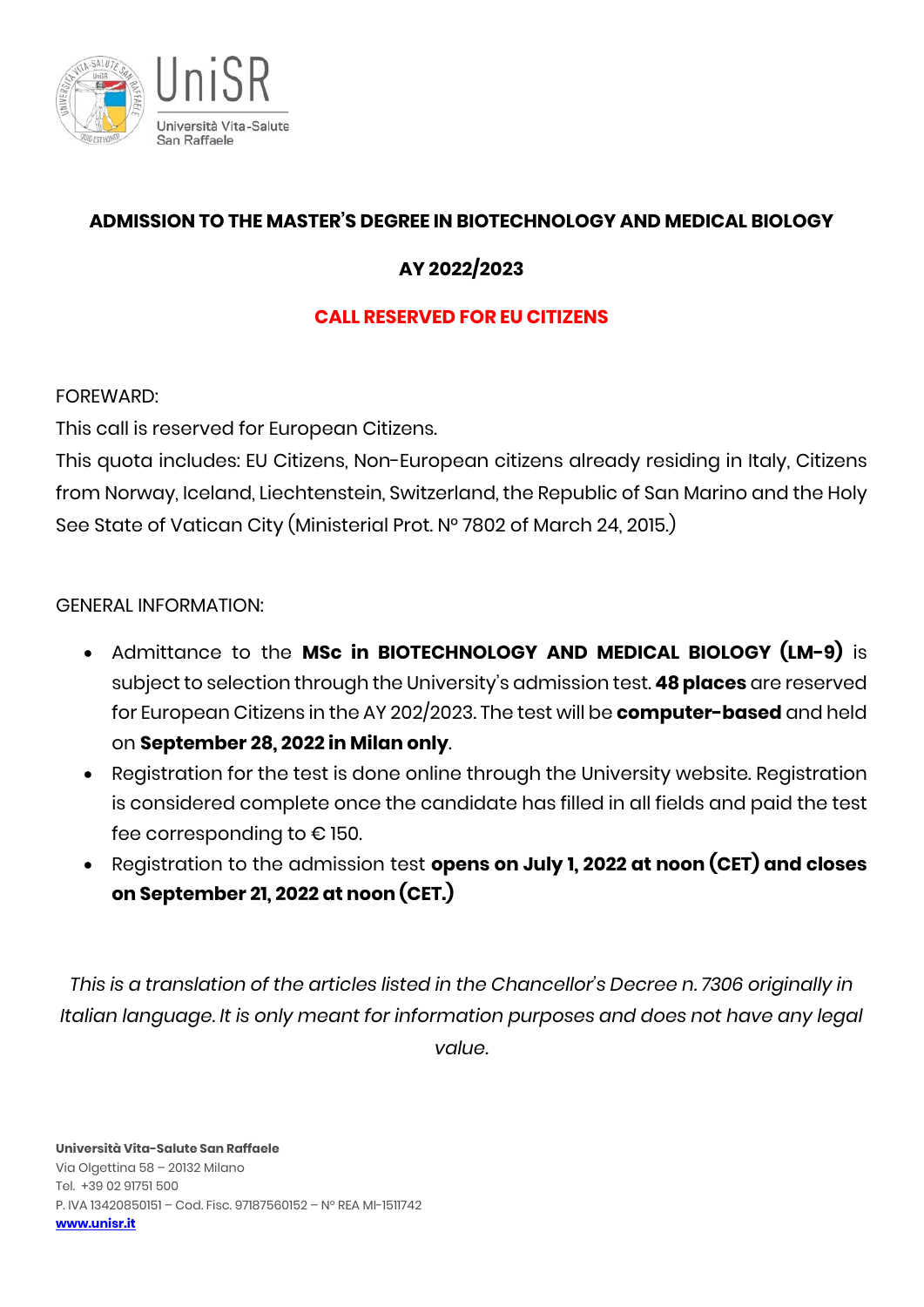

# **ADMISSION TO THE MASTER'S DEGREE IN BIOTECHNOLOGY AND MEDICAL BIOLOGY**

# **AY 2022/2023**

# **CALL RESERVED FOR EU CITIZENS**

FOREWARD:

This call is reserved for European Citizens.

This quota includes: EU Citizens, Non-European citizens already residing in Italy, Citizens from Norway, Iceland, Liechtenstein, Switzerland, the Republic of San Marino and the Holy See State of Vatican City (Ministerial Prot. N° 7802 of March 24, 2015.)

## GENERAL INFORMATION:

- Admittance to the **MSc in BIOTECHNOLOGY AND MEDICAL BIOLOGY (LM-9)** is subject to selection through the University's admission test. **48 places** are reserved for European Citizens in the AY 202/2023. The test will be **computer-based** and held on **September 28, 2022 in Milan only**.
- Registration for the test is done online through the University website. Registration is considered complete once the candidate has filled in all fields and paid the test fee corresponding to € 150.
- Registration to the admission test **opens on July 1, 2022 at noon (CET) and closes on September 21, 2022 at noon (CET.)**

*This is a translation of the articles listed in the Chancellor's Decree n. 7306 originally in Italian language. It is only meant for information purposes and does not have any legal value.*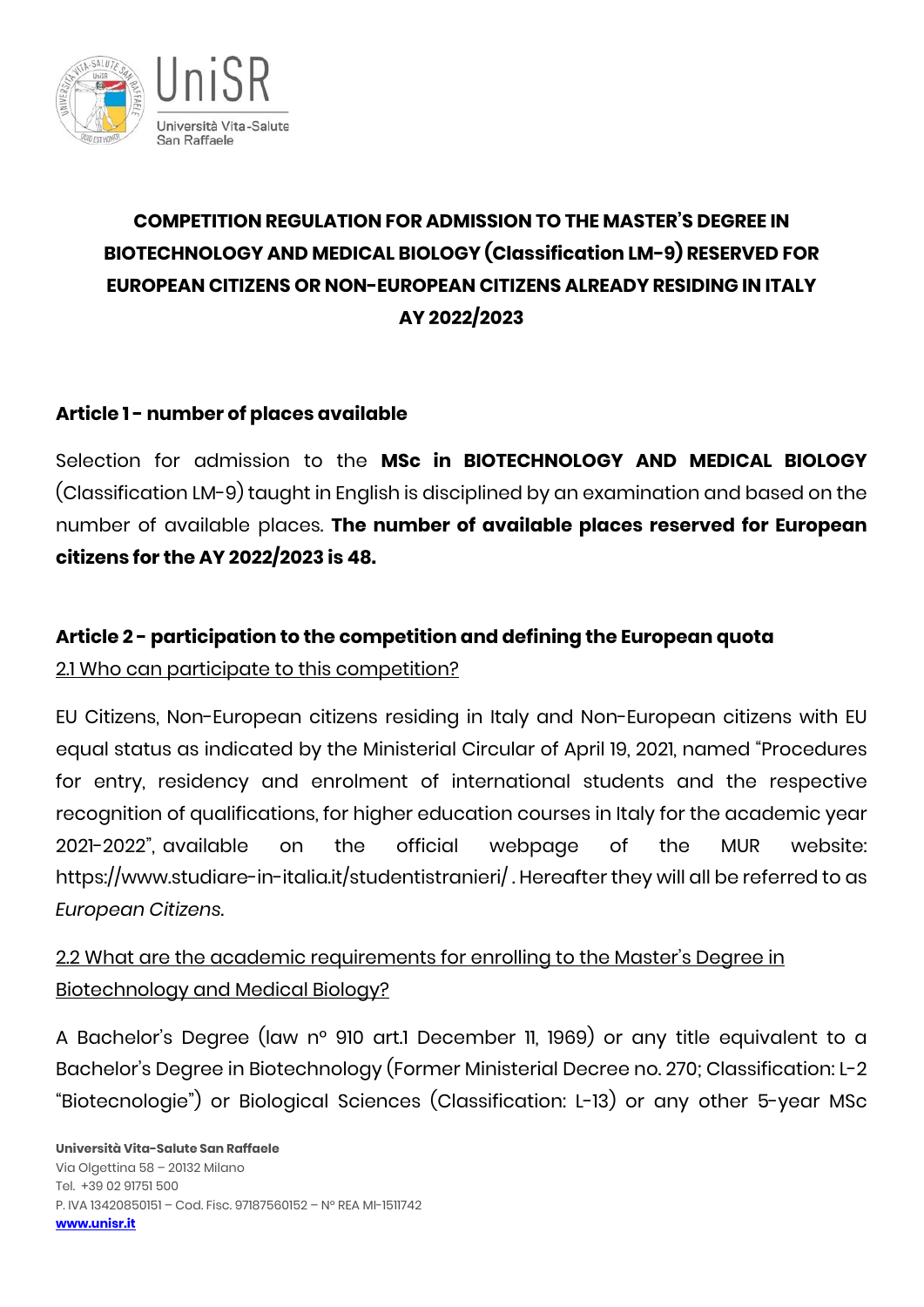

# **COMPETITION REGULATION FOR ADMISSION TO THE MASTER'S DEGREE IN BIOTECHNOLOGY AND MEDICAL BIOLOGY (Classification LM-9) RESERVED FOR EUROPEAN CITIZENS OR NON-EUROPEAN CITIZENS ALREADY RESIDING IN ITALY AY 2022/2023**

## **Article 1 - number of places available**

Selection for admission to the **MSc in BIOTECHNOLOGY AND MEDICAL BIOLOGY** (Classification LM-9) taught in English is disciplined by an examination and based on the number of available places. **The number of available places reserved for European citizens for the AY 2022/2023 is 48.**

# **Article 2 - participation to the competition and defining the European quota** 2.1 Who can participate to this competition?

EU Citizens, Non-European citizens residing in Italy and Non-European citizens with EU equal status as indicated by the Ministerial Circular of April 19, 2021, named "Procedures for entry, residency and enrolment of international students and the respective recognition of qualifications, for higher education courses in Italy for the academic year 2021-2022", available on the official webpage of the MUR website: https://www.studiare-in-italia.it/studentistranieri/ . Hereafter they will all be referred to as *European Citizens*.

2.2 What are the academic requirements for enrolling to the Master's Degree in Biotechnology and Medical Biology?

A Bachelor's Degree (law n° 910 art.1 December 11, 1969) or any title equivalent to a Bachelor's Degree in Biotechnology (Former Ministerial Decree no. 270; Classification: L-2 "Biotecnologie") or Biological Sciences (Classification: L-13) or any other 5-year MSc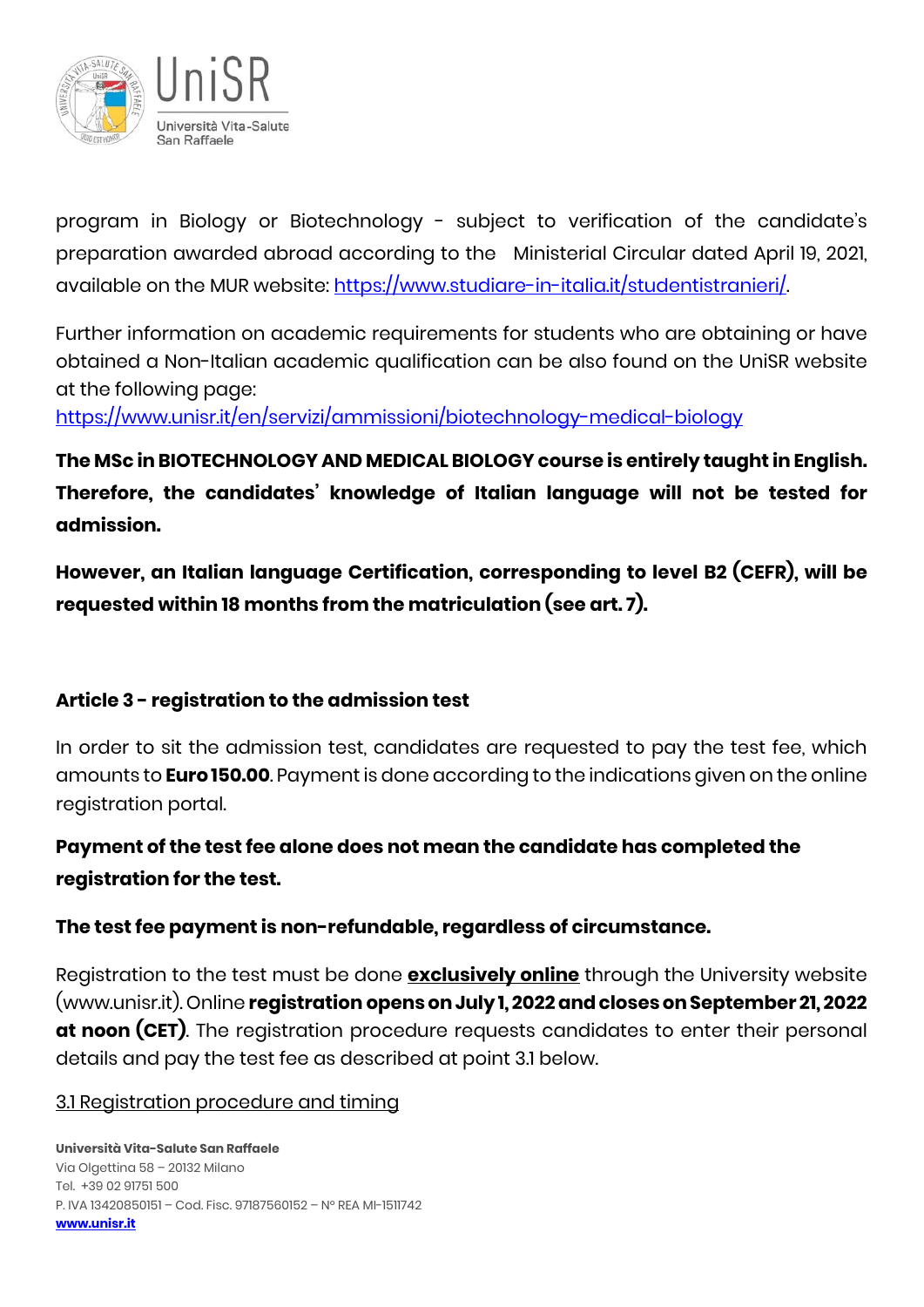

program in Biology or Biotechnology - subject to verification of the candidate's preparation awarded abroad according to the Ministerial Circular dated April 19, 2021, available on the MUR website: [https://www.studiare-in-italia.it/studentistranieri/.](https://www.studiare-in-italia.it/studentistranieri/) 

Further information on academic requirements for students who are obtaining or have obtained a Non-Italian academic qualification can be also found on the UniSR website at the following page:

<https://www.unisr.it/en/servizi/ammissioni/biotechnology-medical-biology>

**The MSc in BIOTECHNOLOGY AND MEDICAL BIOLOGY course is entirely taught in English. Therefore, the candidates' knowledge of Italian language will not be tested for admission.** 

**However, an Italian language Certification, corresponding to level B2 (CEFR), will be requested within 18 months from the matriculation (see art. 7).** 

### **Article 3 - registration to the admission test**

In order to sit the admission test, candidates are requested to pay the test fee, which amounts to **Euro 150.00**. Payment is done according to the indications given on the online registration portal.

# **Payment of the test fee alone does not mean the candidate has completed the registration for the test.**

### **The test fee payment is non-refundable, regardless of circumstance.**

Registration to the test must be done **exclusively online** through the University website (www.unisr.it). Online **registration opens on July1, 2022and closes on September 21, 2022 at noon (CET)**. The registration procedure requests candidates to enter their personal details and pay the test fee as described at point 3.1 below.

### 3.1 Registration procedure and timing

**Università Vita-Salute San Raffaele** Via Olgettina 58 – 20132 Milano Tel. +39 02 91751 500 P. IVA 13420850151 – Cod. Fisc. 97187560152 – N° REA MI-1511742 **[www.unisr.it](http://www.unisr.it/)**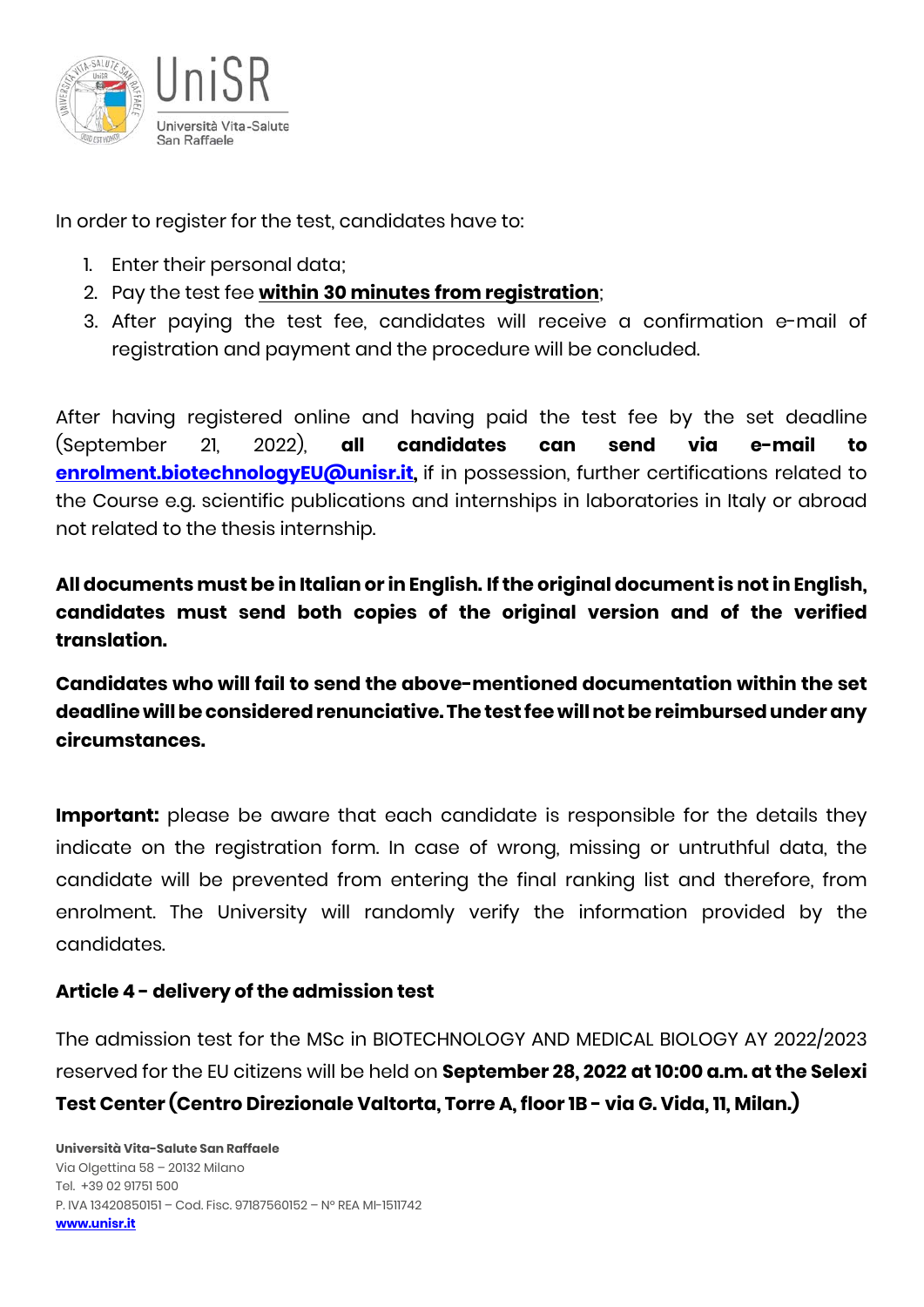

In order to register for the test, candidates have to:

- 1. Enter their personal data;
- 2. Pay the test fee **within 30 minutes from registration**;
- 3. After paying the test fee, candidates will receive a confirmation e-mail of registration and payment and the procedure will be concluded.

After having registered online and having paid the test fee by the set deadline (September 21, 2022), **all candidates can send via e-mail to enrolment.biotechnologyEU@unisr.it**, if in possession, further certifications related to the Course e.g. scientific publications and internships in laboratories in Italy or abroad not related to the thesis internship.

**All documents must be in Italian or in English. If the original document is not in English, candidates must send both copies of the original version and of the verified translation.**

**Candidates who will fail to send the above-mentioned documentation within the set deadline will be considered renunciative. The test fee will not be reimbursed under any circumstances.**

**Important:** please be aware that each candidate is responsible for the details they indicate on the registration form. In case of wrong, missing or untruthful data, the candidate will be prevented from entering the final ranking list and therefore, from enrolment. The University will randomly verify the information provided by the candidates.

### **Article 4 - delivery of the admission test**

The admission test for the MSc in BIOTECHNOLOGY AND MEDICAL BIOLOGY AY 2022/2023 reserved for the EU citizens will be held on **September 28, 2022 at 10:00 a.m. at the Selexi Test Center (Centro Direzionale Valtorta, Torre A, floor 1B - via G. Vida, 11, Milan.)**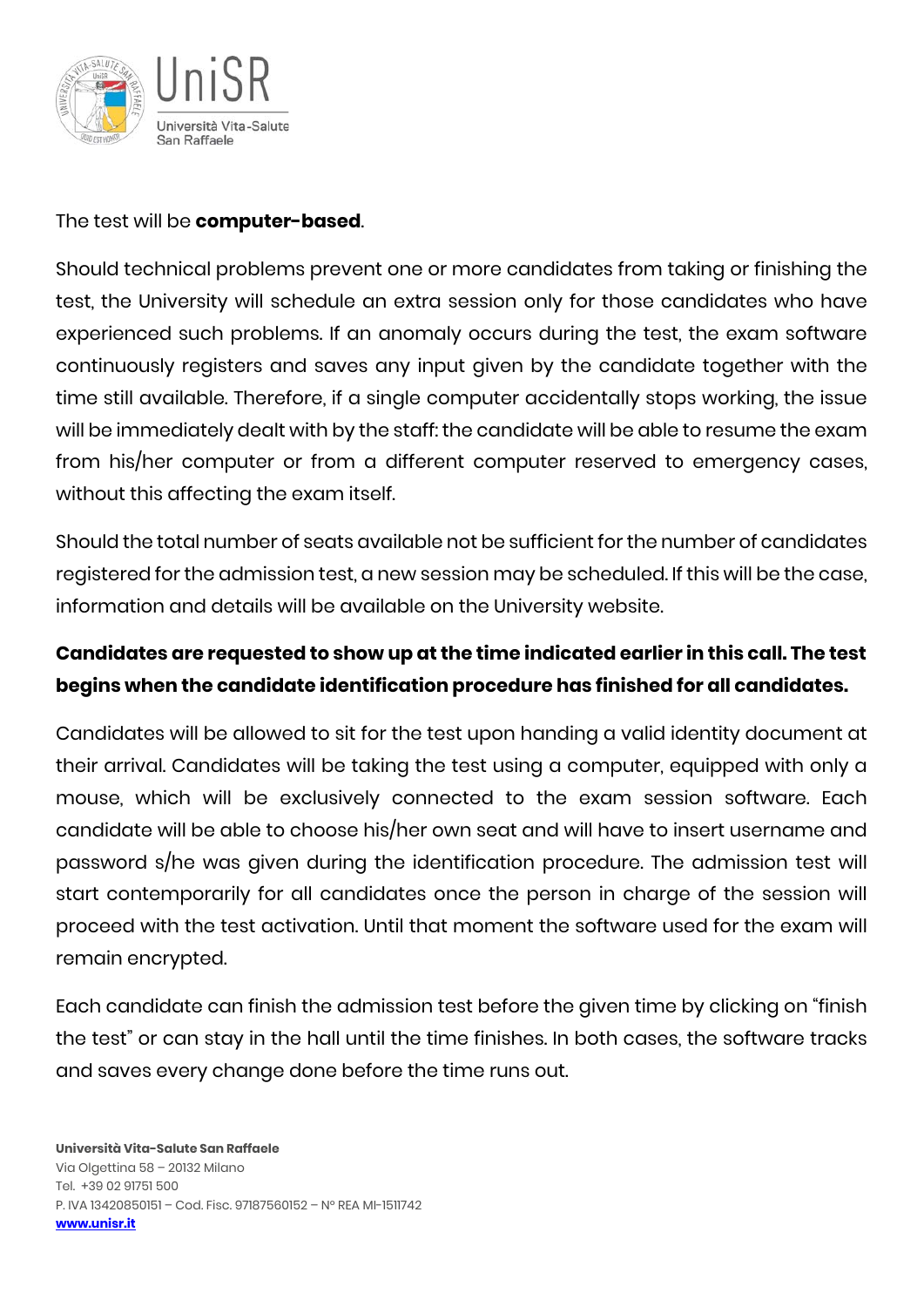

#### The test will be **computer-based**.

Should technical problems prevent one or more candidates from taking or finishing the test, the University will schedule an extra session only for those candidates who have experienced such problems. If an anomaly occurs during the test, the exam software continuously registers and saves any input given by the candidate together with the time still available. Therefore, if a single computer accidentally stops working, the issue will be immediately dealt with by the staff: the candidate will be able to resume the exam from his/her computer or from a different computer reserved to emergency cases, without this affecting the exam itself.

Should the total number of seats available not be sufficient for the number of candidates registered for the admission test, a new session may be scheduled. If this will be the case, information and details will be available on the University website.

# **Candidates are requested to show up at the time indicated earlier in this call. The test begins when the candidate identification procedure has finished for all candidates.**

Candidates will be allowed to sit for the test upon handing a valid identity document at their arrival. Candidates will be taking the test using a computer, equipped with only a mouse, which will be exclusively connected to the exam session software. Each candidate will be able to choose his/her own seat and will have to insert username and password s/he was given during the identification procedure. The admission test will start contemporarily for all candidates once the person in charge of the session will proceed with the test activation. Until that moment the software used for the exam will remain encrypted.

Each candidate can finish the admission test before the given time by clicking on "finish the test" or can stay in the hall until the time finishes. In both cases, the software tracks and saves every change done before the time runs out.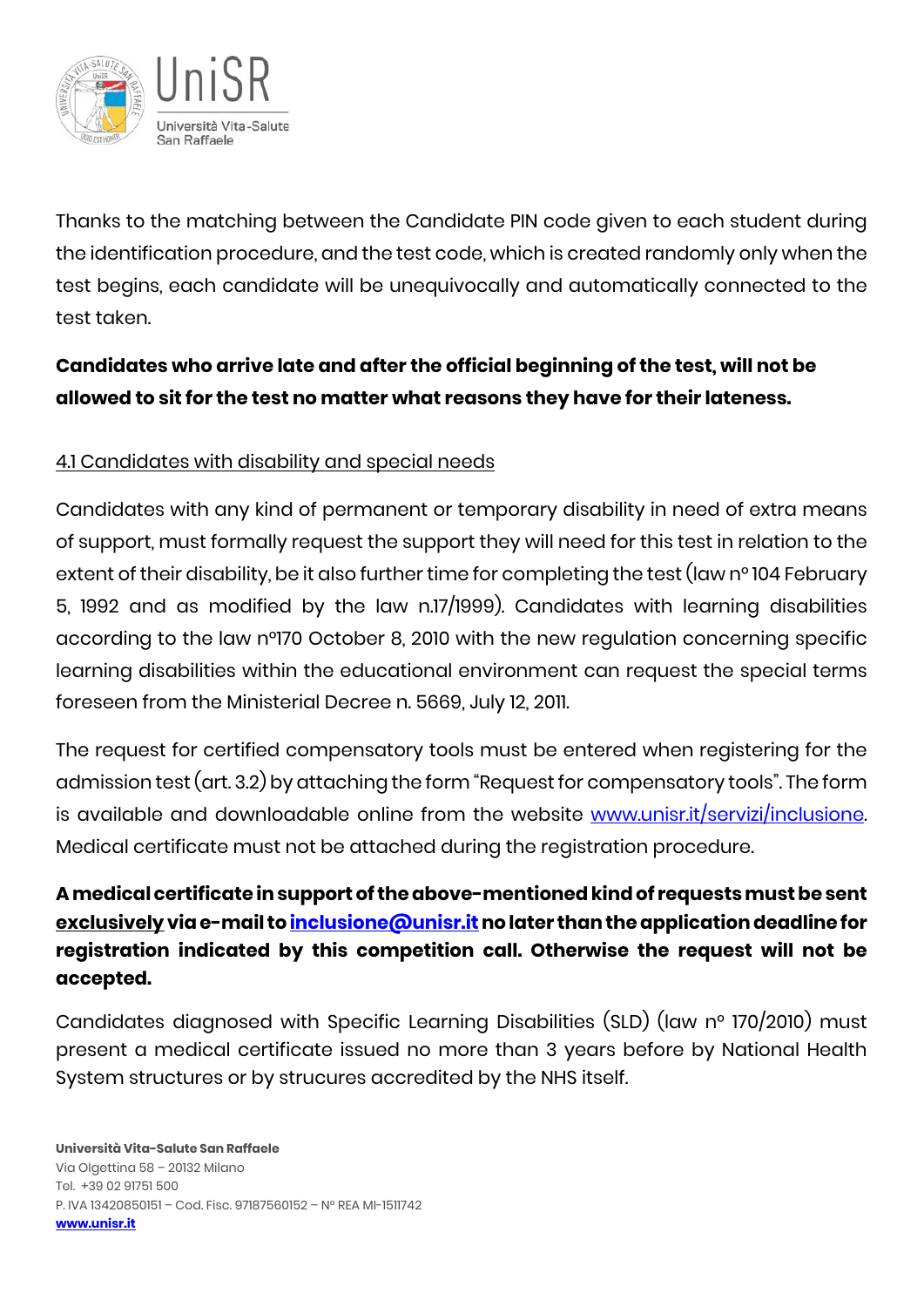

Thanks to the matching between the Candidate PIN code given to each student during the identification procedure, and the test code, which is created randomly only when the test begins, each candidate will be unequivocally and automatically connected to the test taken.

# **Candidates who arrive late and after the official beginning of the test, will not be allowed to sit for the test no matter what reasons they have for their lateness.**

# 4.1 Candidates with disability and special needs

Candidates with any kind of permanent or temporary disability in need of extra means of support, must formally request the support they will need for this test in relation to the extent of their disability, be it also further time for completing the test (law n° 104 February 5, 1992 and as modified by the law n.17/1999). Candidates with learning disabilities according to the law n°170 October 8, 2010 with the new regulation concerning specific learning disabilities within the educational environment can request the special terms foreseen from the Ministerial Decree n. 5669, July 12, 2011.

The request for certified compensatory tools must be entered when registering for the admission test (art. 3.2) by attaching the form "Request for compensatory tools". The form is available and downloadable online from the website [www.unisr.it/servizi/inclusione.](http://www.unisr.it/servizi/inclusione) Medical certificate must not be attached during the registration procedure.

# **Amedical certificate in support of the above-mentionedkind of requests must be sent exclusivelyvia e-mail t[o inclusione@unisr.itn](mailto:inclusione@unisr.it)o later than the application deadline for registration indicated by this competition call. Otherwise the request will not be accepted.**

Candidates diagnosed with Specific Learning Disabilities (SLD) (law n° 170/2010) must present a medical certificate issued no more than 3 years before by National Health System structures or by strucures accredited by the NHS itself.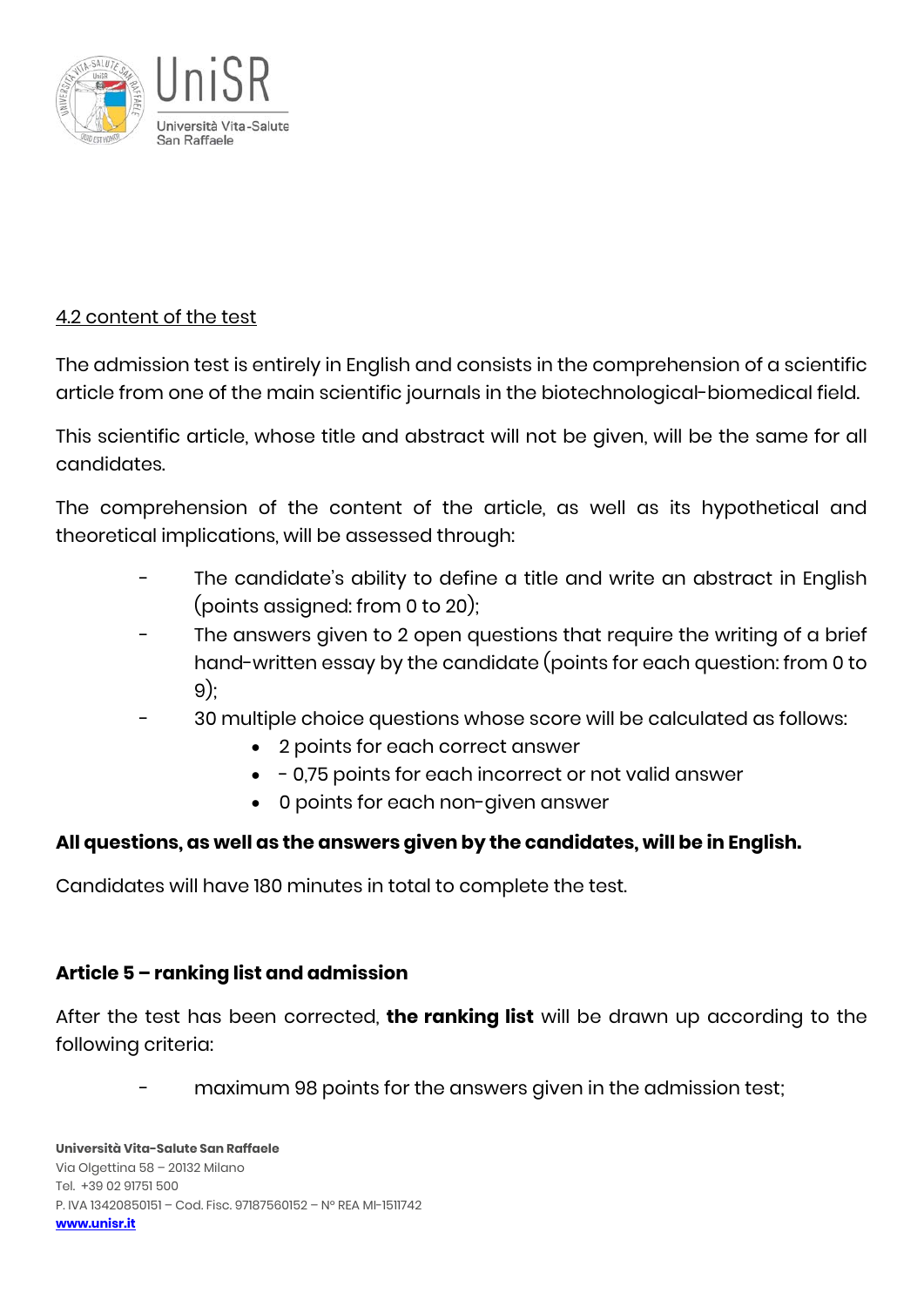

### 4.2 content of the test

The admission test is entirely in English and consists in the comprehension of a scientific article from one of the main scientific journals in the biotechnological-biomedical field.

This scientific article, whose title and abstract will not be given, will be the same for all candidates.

The comprehension of the content of the article, as well as its hypothetical and theoretical implications, will be assessed through:

- The candidate's ability to define a title and write an abstract in English (points assigned: from 0 to 20);
- The answers given to 2 open questions that require the writing of a brief hand-written essay by the candidate (points for each question: from 0 to 9);
- 30 multiple choice questions whose score will be calculated as follows:
	- 2 points for each correct answer
	- - 0,75 points for each incorrect or not valid answer
	- 0 points for each non-given answer

### **All questions, as well as the answers given by the candidates, will be in English.**

Candidates will have 180 minutes in total to complete the test.

### **Article 5 – ranking list and admission**

After the test has been corrected, **the ranking list** will be drawn up according to the following criteria:

- maximum 98 points for the answers given in the admission test;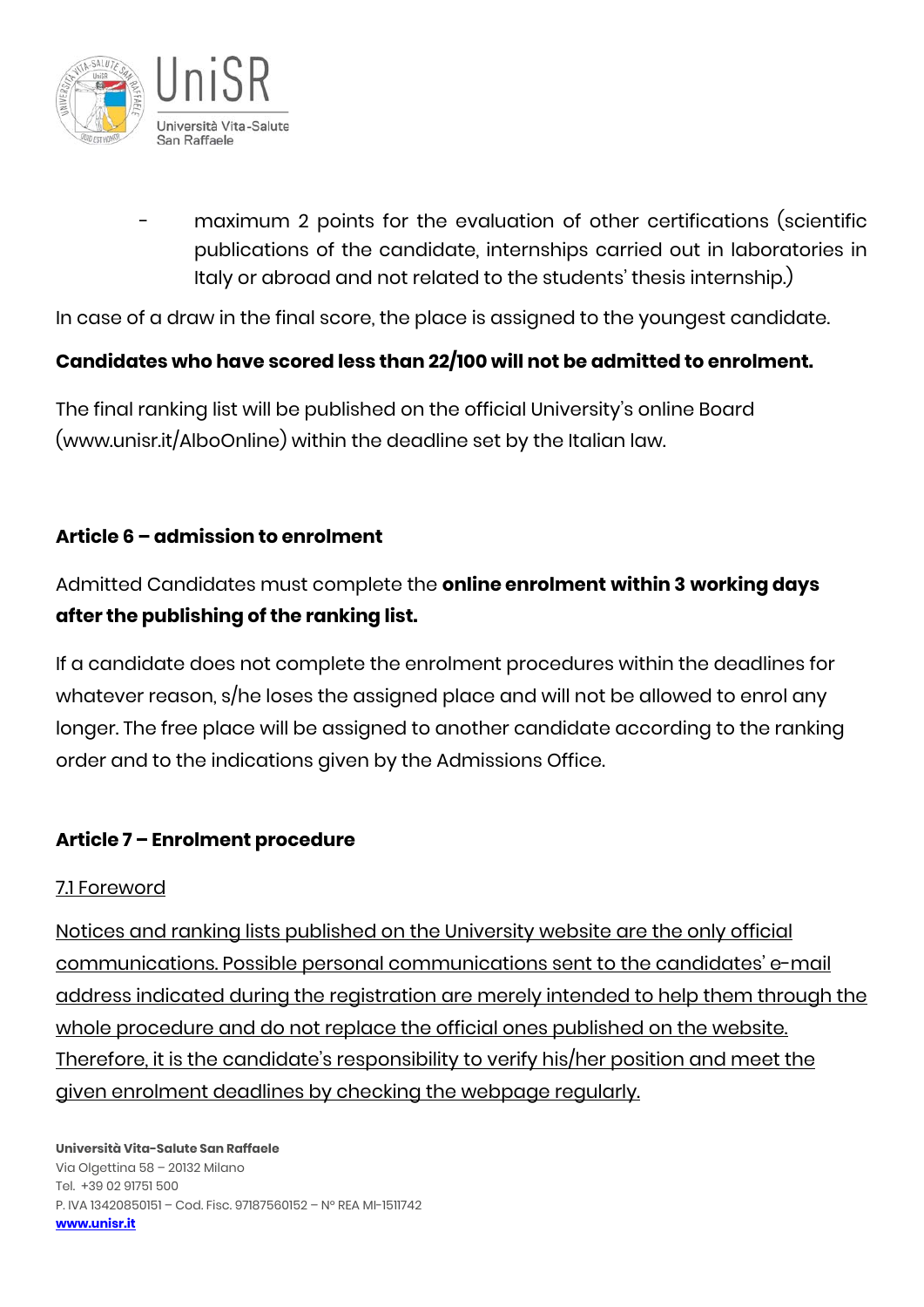

maximum 2 points for the evaluation of other certifications (scientific publications of the candidate, internships carried out in laboratories in Italy or abroad and not related to the students' thesis internship.)

In case of a draw in the final score, the place is assigned to the youngest candidate.

## **Candidates who have scored less than 22/100 will not be admitted to enrolment.**

The final ranking list will be published on the official University's online Board (www.unisr.it/AlboOnline) within the deadline set by the Italian law.

# **Article 6 – admission to enrolment**

Admitted Candidates must complete the **online enrolment within 3 working days after the publishing of the ranking list.**

If a candidate does not complete the enrolment procedures within the deadlines for whatever reason, s/he loses the assigned place and will not be allowed to enrol any longer. The free place will be assigned to another candidate according to the ranking order and to the indications given by the Admissions Office.

# **Article 7 – Enrolment procedure**

### 7.1 Foreword

Notices and ranking lists published on the University website are the only official communications. Possible personal communications sent to the candidates' e-mail address indicated during the registration are merely intended to help them through the whole procedure and do not replace the official ones published on the website. Therefore, it is the candidate's responsibility to verify his/her position and meet the given enrolment deadlines by checking the webpage regularly.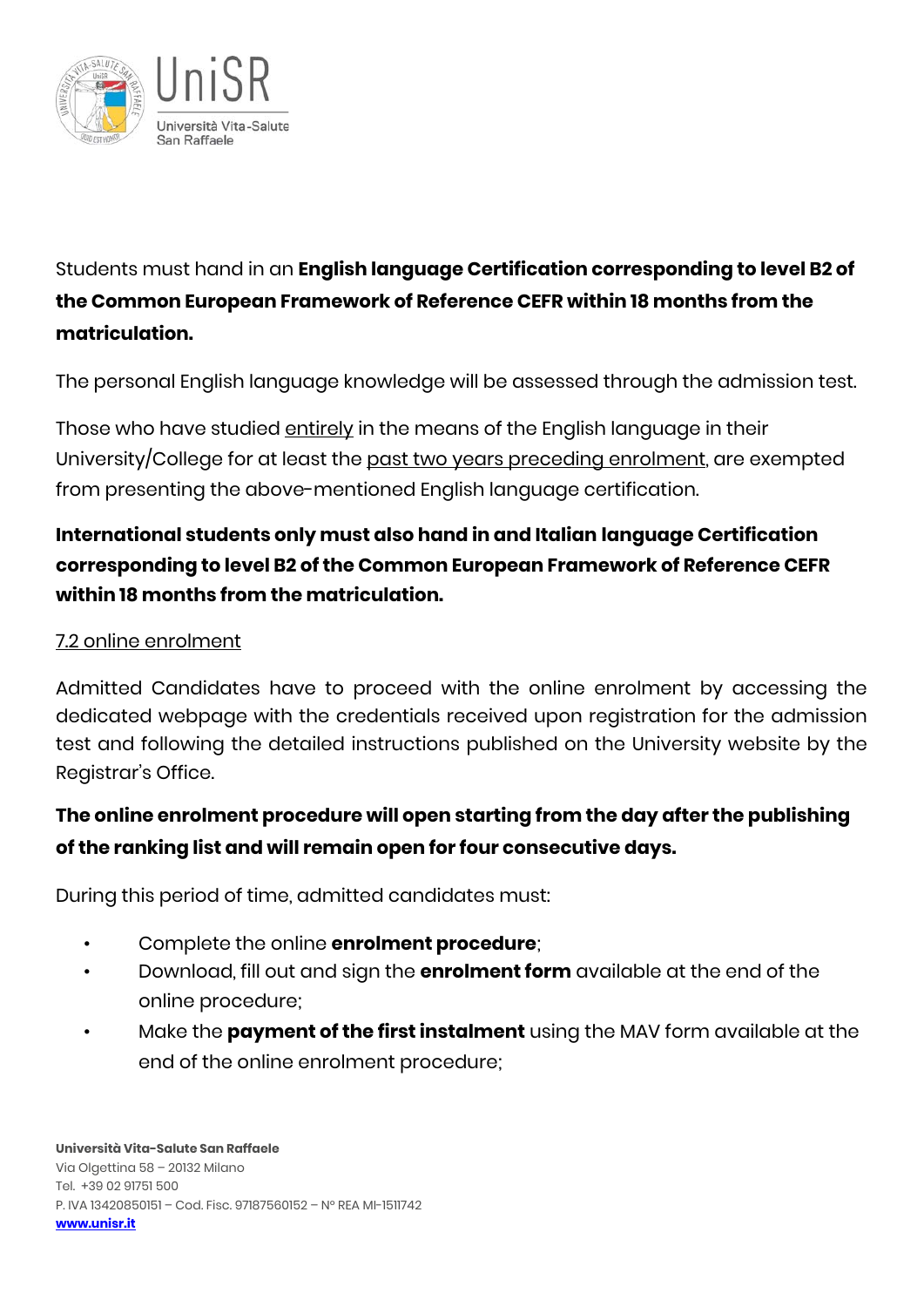

Students must hand in an **English language Certification corresponding to level B2 of the Common European Framework of Reference CEFR within 18 months from the matriculation.**

The personal English language knowledge will be assessed through the admission test.

Those who have studied entirely in the means of the English language in their University/College for at least the past two years preceding enrolment, are exempted from presenting the above-mentioned English language certification.

# **International students only must also hand in and Italian language Certification corresponding to level B2 of the Common European Framework of Reference CEFR within 18 months from the matriculation.**

## 7.2 online enrolment

Admitted Candidates have to proceed with the online enrolment by accessing the dedicated webpage with the credentials received upon registration for the admission test and following the detailed instructions published on the University website by the Registrar's Office.

# **The online enrolment procedure will open starting from the day after the publishing of the ranking list and will remain open for four consecutive days.**

During this period of time, admitted candidates must:

- Complete the online **enrolment procedure**;
- Download, fill out and sign the **enrolment form** available at the end of the online procedure;
- Make the **payment of the first instalment** using the MAV form available at the end of the online enrolment procedure;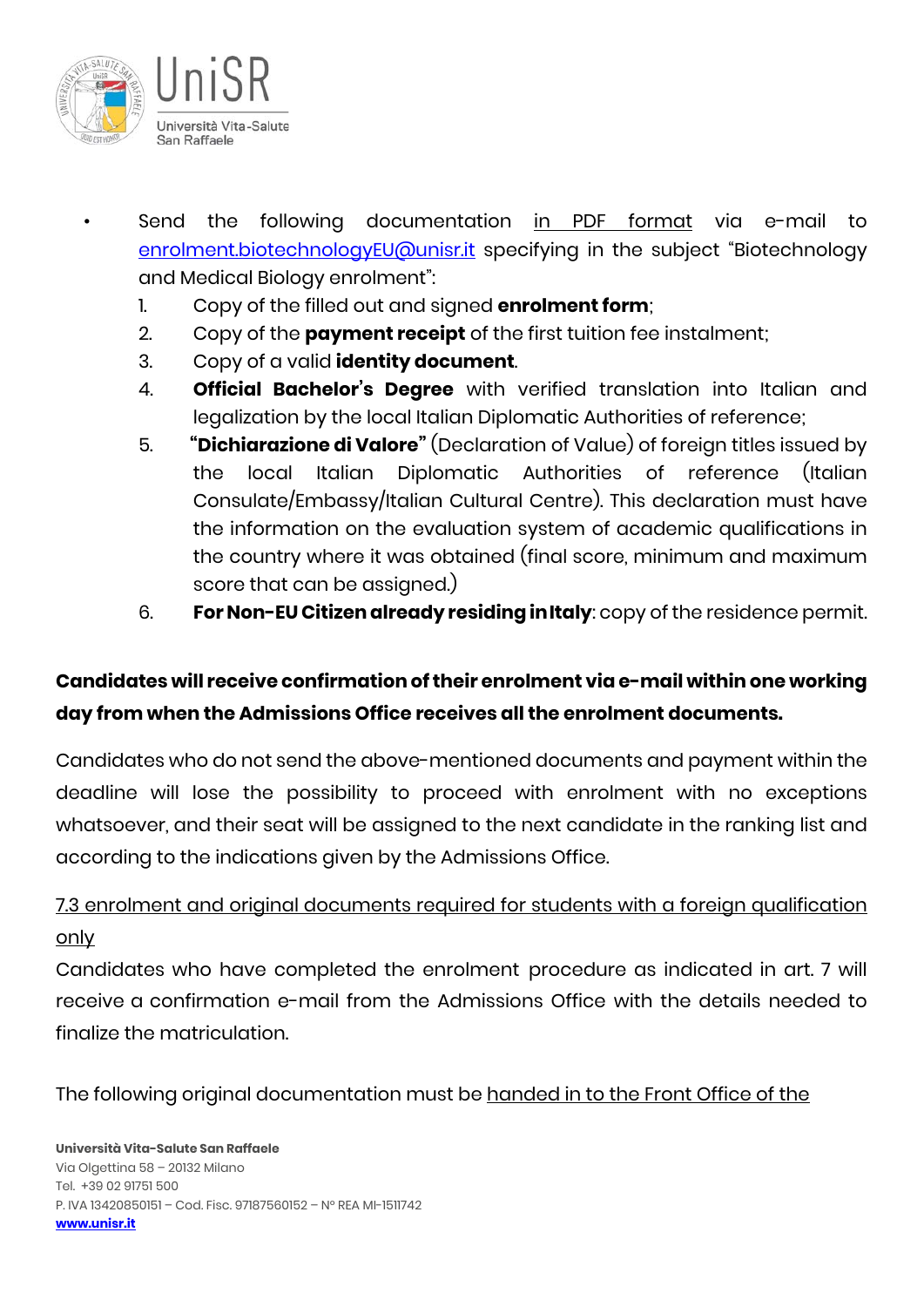

- Send the following documentation in PDF format via e-mail to [enrolment.biotechnologyEU@unisr.it](mailto:enrolment.biotechnologyEU@unisr.it) specifying in the subject "Biotechnology and Medical Biology enrolment":
	- 1. Copy of the filled out and signed **enrolment form**;
	- 2. Copy of the **payment receipt** of the first tuition fee instalment;
	- 3. Copy of a valid **identity document**.
	- 4. **Official Bachelor's Degree** with verified translation into Italian and legalization by the local Italian Diplomatic Authorities of reference;
	- 5. **"Dichiarazione di Valore"** (Declaration of Value) of foreign titles issued by the local Italian Diplomatic Authorities of reference (Italian Consulate/Embassy/Italian Cultural Centre). This declaration must have the information on the evaluation system of academic qualifications in the country where it was obtained (final score, minimum and maximum score that can be assigned.)
	- 6. **For Non-EU Citizen already residing inItaly**: copy of the residence permit.

# **Candidates will receive confirmation of their enrolment via e-mail within one working day from when the Admissions Office receives all the enrolment documents.**

Candidates who do not send the above-mentioned documents and payment within the deadline will lose the possibility to proceed with enrolment with no exceptions whatsoever, and their seat will be assigned to the next candidate in the ranking list and according to the indications given by the Admissions Office.

# 7.3 enrolment and original documents required for students with a foreign qualification only

Candidates who have completed the enrolment procedure as indicated in art. 7 will receive a confirmation e-mail from the Admissions Office with the details needed to finalize the matriculation.

The following original documentation must be handed in to the Front Office of the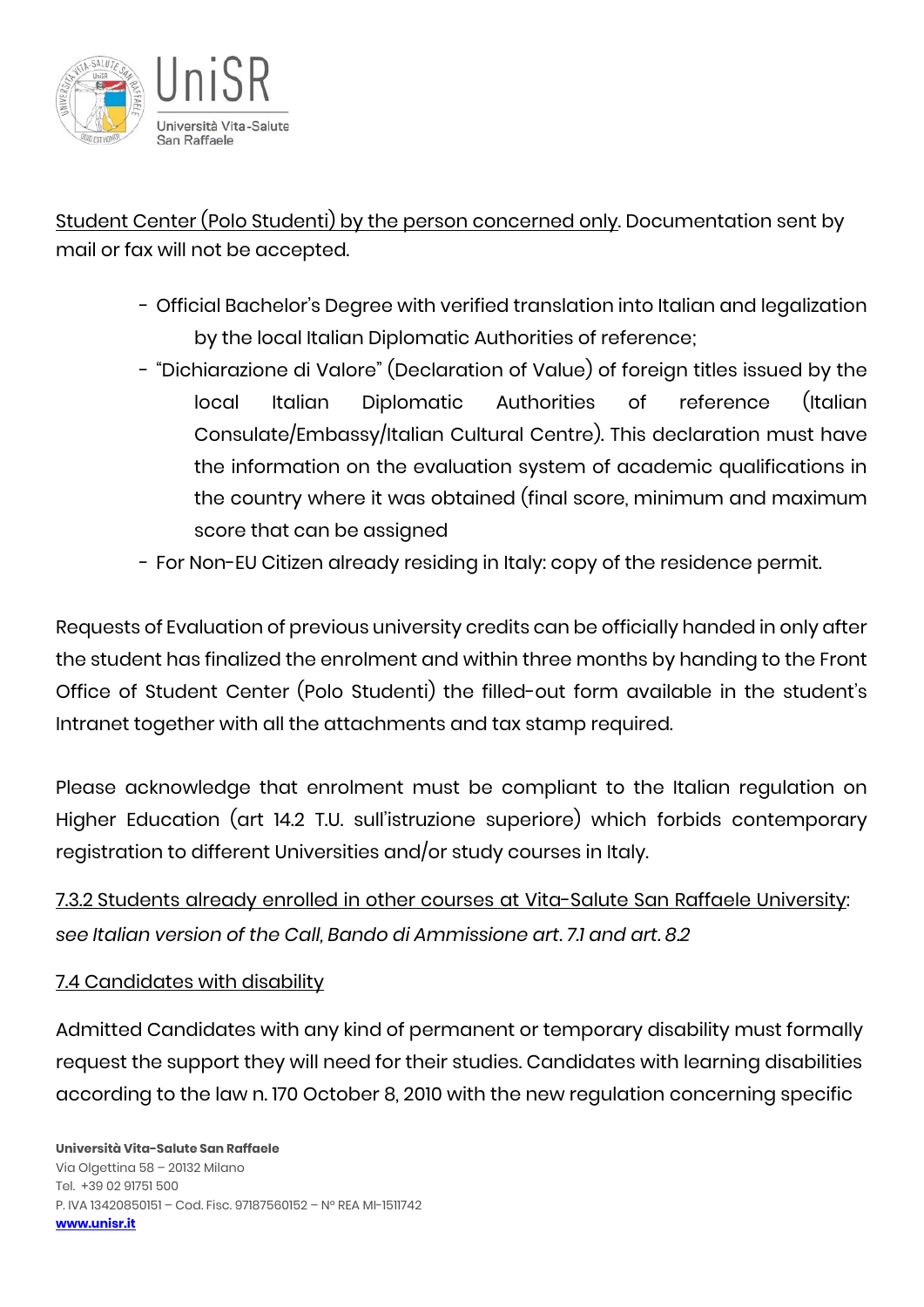

Student Center (Polo Studenti) by the person concerned only. Documentation sent by mail or fax will not be accepted.

- Official Bachelor's Degree with verified translation into Italian and legalization by the local Italian Diplomatic Authorities of reference;
- "Dichiarazione di Valore" (Declaration of Value) of foreign titles issued by the local Italian Diplomatic Authorities of reference (Italian Consulate/Embassy/Italian Cultural Centre). This declaration must have the information on the evaluation system of academic qualifications in the country where it was obtained (final score, minimum and maximum score that can be assigned
- For Non-EU Citizen already residing in Italy: copy of the residence permit.

Requests of Evaluation of previous university credits can be officially handed in only after the student has finalized the enrolment and within three months by handing to the Front Office of Student Center (Polo Studenti) the filled-out form available in the student's Intranet together with all the attachments and tax stamp required.

Please acknowledge that enrolment must be compliant to the Italian regulation on Higher Education (art 14.2 T.U. sull'istruzione superiore) which forbids contemporary registration to different Universities and/or study courses in Italy.

7.3.2 Students already enrolled in other courses at Vita-Salute San Raffaele University: *see Italian version of the Call, Bando di Ammissione art. 7.1 and art. 8.2*

#### 7.4 Candidates with disability

Admitted Candidates with any kind of permanent or temporary disability must formally request the support they will need for their studies. Candidates with learning disabilities according to the law n. 170 October 8, 2010 with the new regulation concerning specific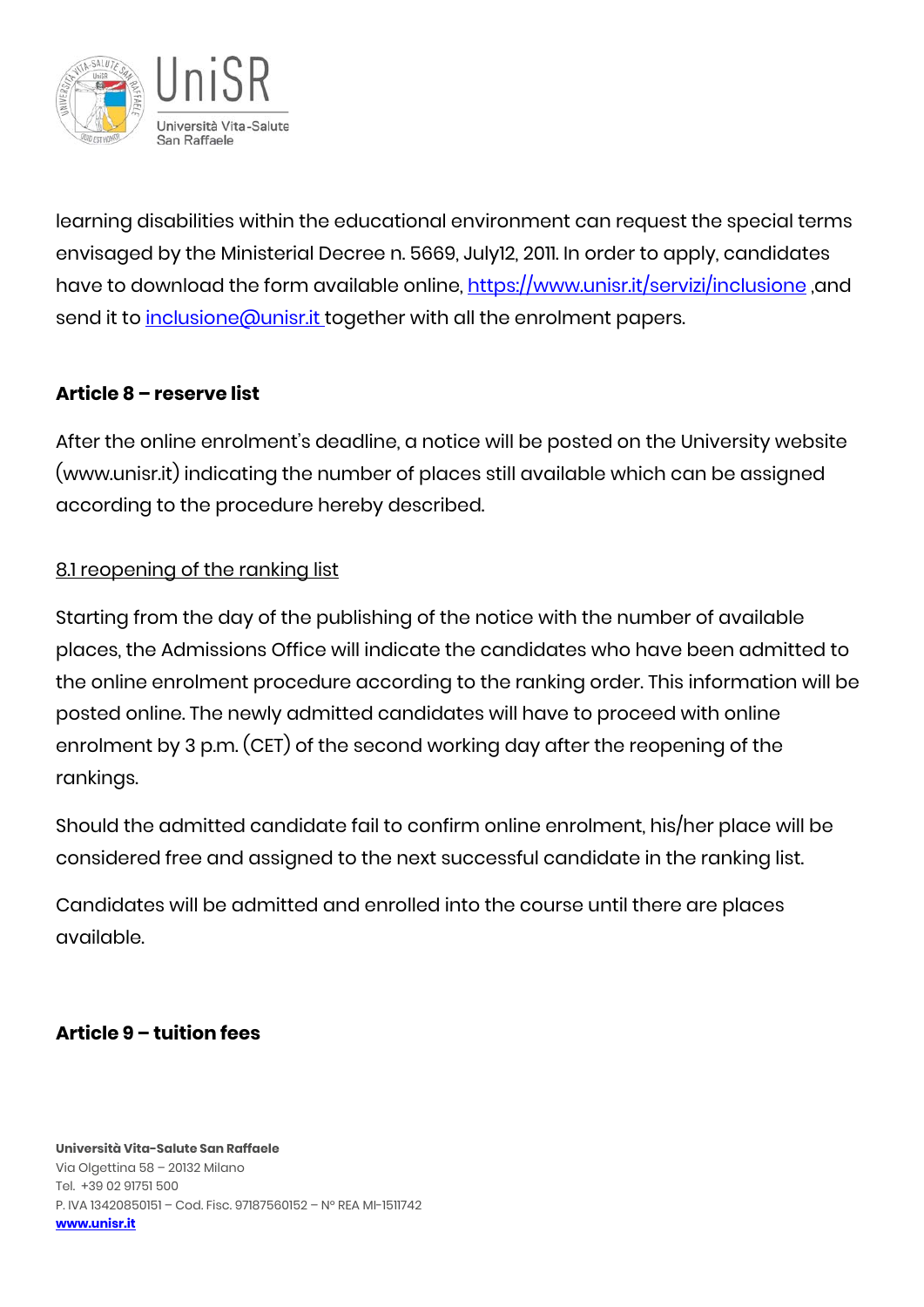

learning disabilities within the educational environment can request the special terms envisaged by the Ministerial Decree n. 5669, July12, 2011. In order to apply, candidates have to download the form available online,<https://www.unisr.it/servizi/inclusione> ,and send it to inclusione @unisr.it together with all the enrolment papers.

## **Article 8 – reserve list**

After the online enrolment's deadline, a notice will be posted on the University website (www.unisr.it) indicating the number of places still available which can be assigned according to the procedure hereby described.

### 8.1 reopening of the ranking list

Starting from the day of the publishing of the notice with the number of available places, the Admissions Office will indicate the candidates who have been admitted to the online enrolment procedure according to the ranking order. This information will be posted online. The newly admitted candidates will have to proceed with online enrolment by 3 p.m. (CET) of the second working day after the reopening of the rankings.

Should the admitted candidate fail to confirm online enrolment, his/her place will be considered free and assigned to the next successful candidate in the ranking list.

Candidates will be admitted and enrolled into the course until there are places available.

# **Article 9 – tuition fees**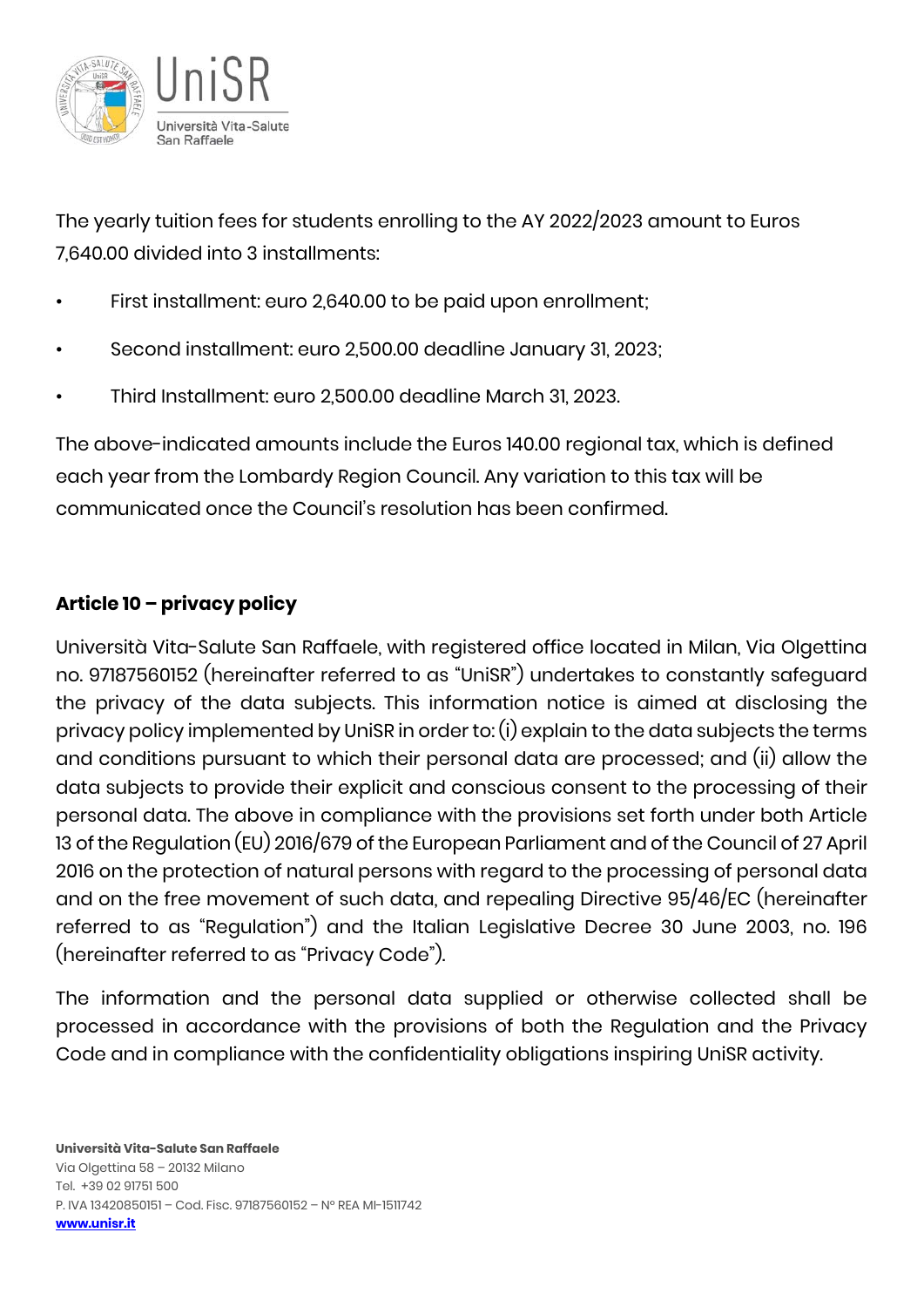

The yearly tuition fees for students enrolling to the AY 2022/2023 amount to Euros 7,640.00 divided into 3 installments:

- First installment: euro 2,640.00 to be paid upon enrollment;
- Second installment: euro 2,500.00 deadline January 31, 2023;
- Third Installment: euro 2,500.00 deadline March 31, 2023.

The above-indicated amounts include the Euros 140.00 regional tax, which is defined each year from the Lombardy Region Council. Any variation to this tax will be communicated once the Council's resolution has been confirmed.

# **Article 10 – privacy policy**

Università Vita-Salute San Raffaele, with registered office located in Milan, Via Olgettina no. 97187560152 (hereinafter referred to as "UniSR") undertakes to constantly safeguard the privacy of the data subjects. This information notice is aimed at disclosing the privacy policy implemented by UniSR in order to: (i) explain to the data subjects the terms and conditions pursuant to which their personal data are processed; and (ii) allow the data subjects to provide their explicit and conscious consent to the processing of their personal data. The above in compliance with the provisions set forth under both Article 13 of the Regulation (EU) 2016/679 of the European Parliament and of the Council of 27 April 2016 on the protection of natural persons with regard to the processing of personal data and on the free movement of such data, and repealing Directive 95/46/EC (hereinafter referred to as "Regulation") and the Italian Legislative Decree 30 June 2003, no. 196 (hereinafter referred to as "Privacy Code").

The information and the personal data supplied or otherwise collected shall be processed in accordance with the provisions of both the Regulation and the Privacy Code and in compliance with the confidentiality obligations inspiring UniSR activity.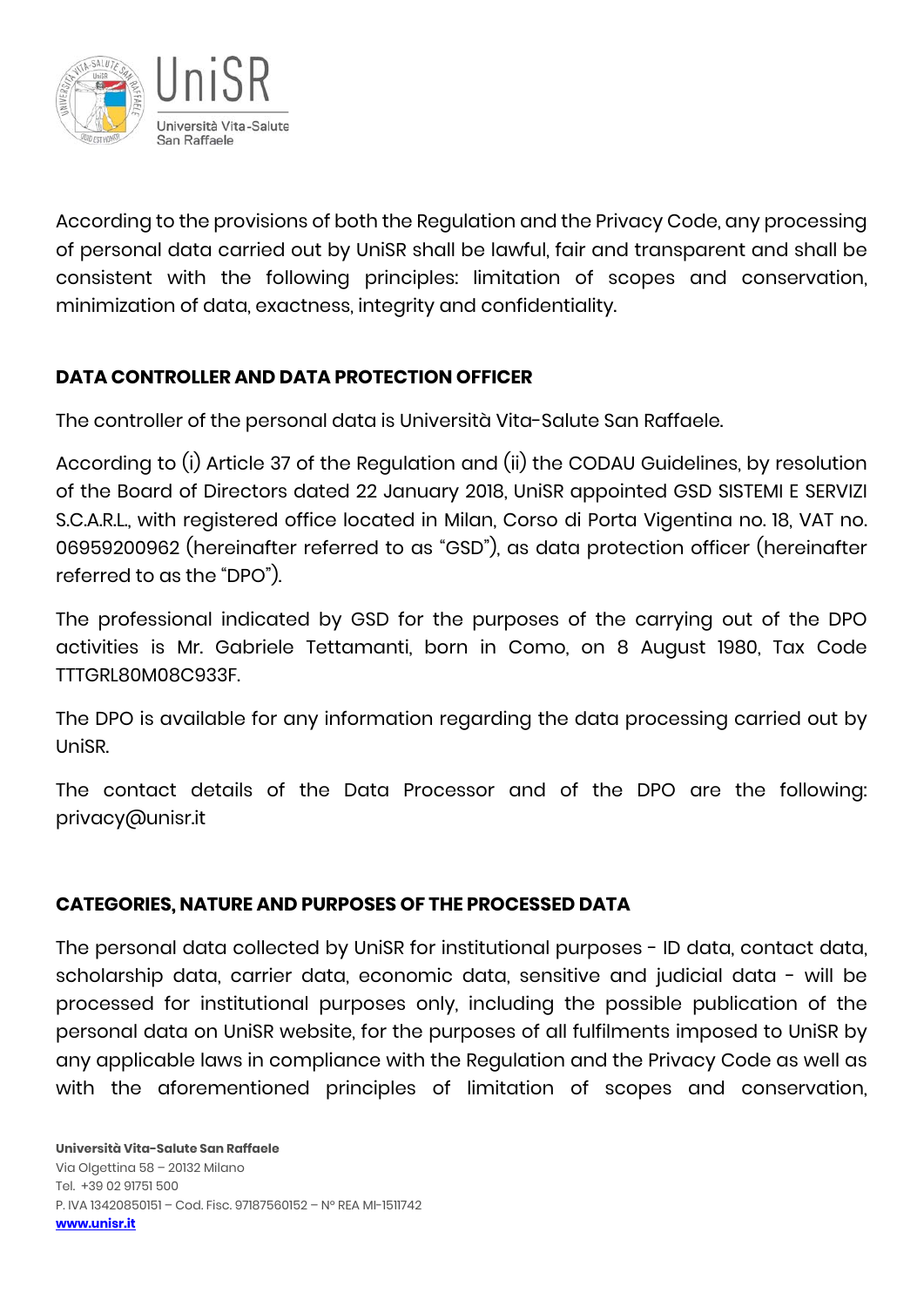

According to the provisions of both the Regulation and the Privacy Code, any processing of personal data carried out by UniSR shall be lawful, fair and transparent and shall be consistent with the following principles: limitation of scopes and conservation, minimization of data, exactness, integrity and confidentiality.

# **DATA CONTROLLER AND DATA PROTECTION OFFICER**

The controller of the personal data is Università Vita-Salute San Raffaele.

According to (i) Article 37 of the Regulation and (ii) the CODAU Guidelines, by resolution of the Board of Directors dated 22 January 2018, UniSR appointed GSD SISTEMI E SERVIZI S.C.A.R.L., with registered office located in Milan, Corso di Porta Vigentina no. 18, VAT no. 06959200962 (hereinafter referred to as "GSD"), as data protection officer (hereinafter referred to as the "DPO").

The professional indicated by GSD for the purposes of the carrying out of the DPO activities is Mr. Gabriele Tettamanti, born in Como, on 8 August 1980, Tax Code TTTGRL80M08C933F.

The DPO is available for any information regarding the data processing carried out by UniSR.

The contact details of the Data Processor and of the DPO are the following: privacy@unisr.it

### **CATEGORIES, NATURE AND PURPOSES OF THE PROCESSED DATA**

The personal data collected by UniSR for institutional purposes - ID data, contact data, scholarship data, carrier data, economic data, sensitive and judicial data - will be processed for institutional purposes only, including the possible publication of the personal data on UniSR website, for the purposes of all fulfilments imposed to UniSR by any applicable laws in compliance with the Regulation and the Privacy Code as well as with the aforementioned principles of limitation of scopes and conservation,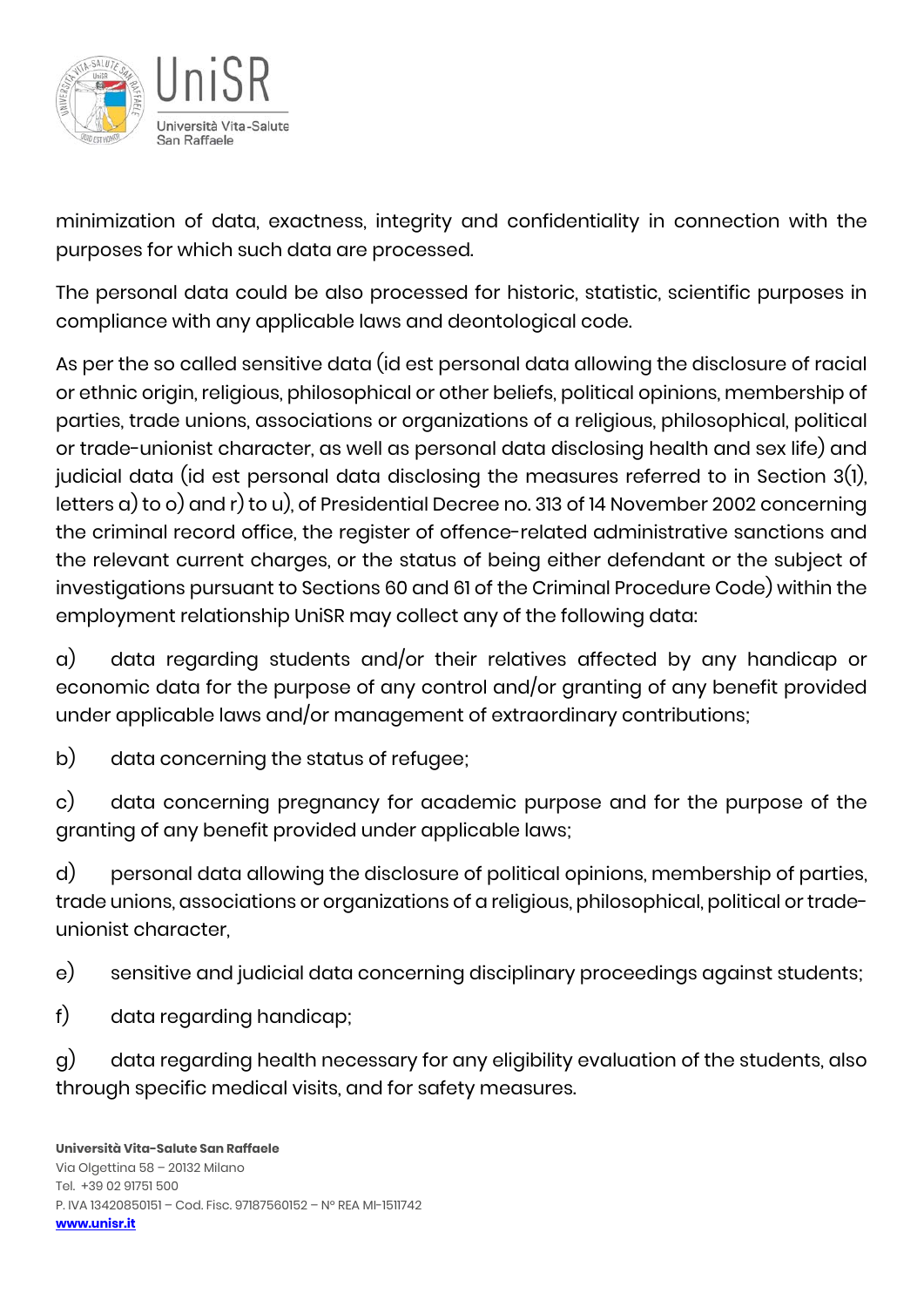

minimization of data, exactness, integrity and confidentiality in connection with the purposes for which such data are processed.

The personal data could be also processed for historic, statistic, scientific purposes in compliance with any applicable laws and deontological code.

As per the so called sensitive data (id est personal data allowing the disclosure of racial or ethnic origin, religious, philosophical or other beliefs, political opinions, membership of parties, trade unions, associations or organizations of a religious, philosophical, political or trade-unionist character, as well as personal data disclosing health and sex life) and judicial data (id est personal data disclosing the measures referred to in Section 3(1), letters a) to o) and r) to u), of Presidential Decree no. 313 of 14 November 2002 concerning the criminal record office, the register of offence-related administrative sanctions and the relevant current charges, or the status of being either defendant or the subject of investigations pursuant to Sections 60 and 61 of the Criminal Procedure Code) within the employment relationship UniSR may collect any of the following data:

a) data regarding students and/or their relatives affected by any handicap or economic data for the purpose of any control and/or granting of any benefit provided under applicable laws and/or management of extraordinary contributions;

b) data concerning the status of refugee;

c) data concerning pregnancy for academic purpose and for the purpose of the granting of any benefit provided under applicable laws;

d) personal data allowing the disclosure of political opinions, membership of parties, trade unions, associations or organizations of a religious, philosophical, political or tradeunionist character,

e) sensitive and judicial data concerning disciplinary proceedings against students;

f) data regarding handicap;

g) data regarding health necessary for any eligibility evaluation of the students, also through specific medical visits, and for safety measures.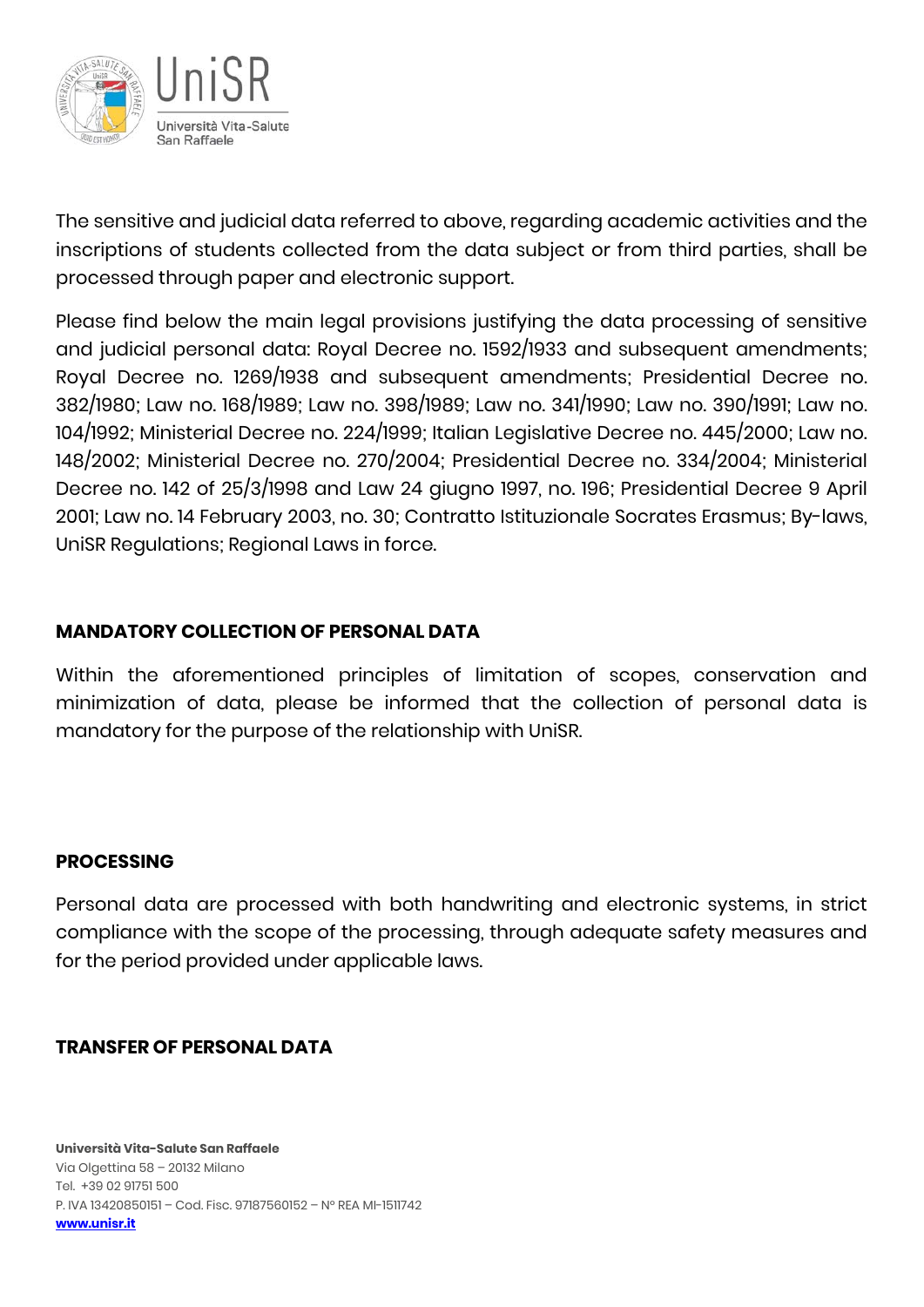

The sensitive and judicial data referred to above, regarding academic activities and the inscriptions of students collected from the data subject or from third parties, shall be processed through paper and electronic support.

Please find below the main legal provisions justifying the data processing of sensitive and judicial personal data: Royal Decree no. 1592/1933 and subsequent amendments; Royal Decree no. 1269/1938 and subsequent amendments; Presidential Decree no. 382/1980; Law no. 168/1989; Law no. 398/1989; Law no. 341/1990; Law no. 390/1991; Law no. 104/1992; Ministerial Decree no. 224/1999; Italian Legislative Decree no. 445/2000; Law no. 148/2002; Ministerial Decree no. 270/2004; Presidential Decree no. 334/2004; Ministerial Decree no. 142 of 25/3/1998 and Law 24 giugno 1997, no. 196; Presidential Decree 9 April 2001; Law no. 14 February 2003, no. 30; Contratto Istituzionale Socrates Erasmus; By-laws, UniSR Regulations; Regional Laws in force.

#### **MANDATORY COLLECTION OF PERSONAL DATA**

Within the aforementioned principles of limitation of scopes, conservation and minimization of data, please be informed that the collection of personal data is mandatory for the purpose of the relationship with UniSR.

#### **PROCESSING**

Personal data are processed with both handwriting and electronic systems, in strict compliance with the scope of the processing, through adequate safety measures and for the period provided under applicable laws.

#### **TRANSFER OF PERSONAL DATA**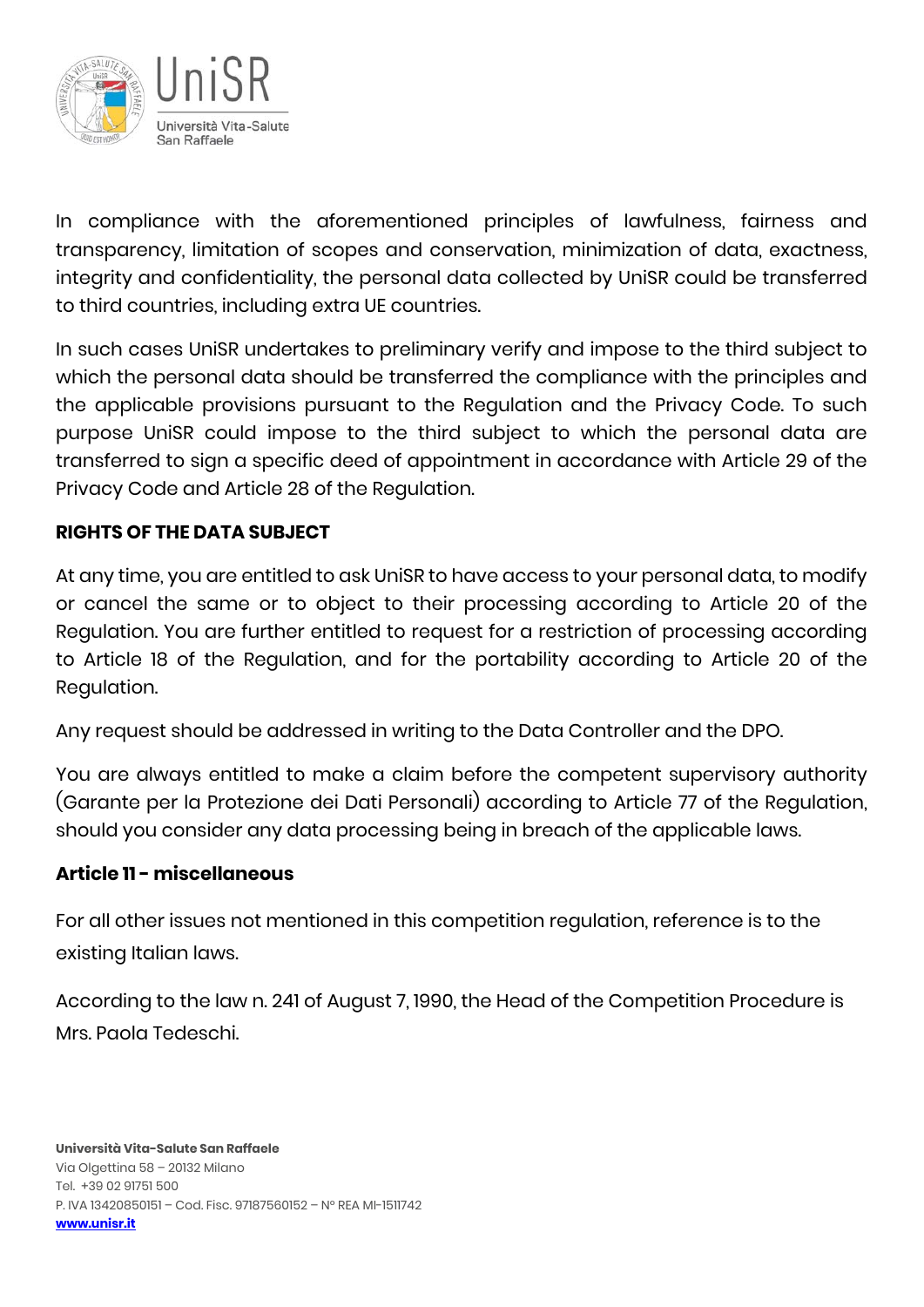

In compliance with the aforementioned principles of lawfulness, fairness and transparency, limitation of scopes and conservation, minimization of data, exactness, integrity and confidentiality, the personal data collected by UniSR could be transferred to third countries, including extra UE countries.

In such cases UniSR undertakes to preliminary verify and impose to the third subject to which the personal data should be transferred the compliance with the principles and the applicable provisions pursuant to the Regulation and the Privacy Code. To such purpose UniSR could impose to the third subject to which the personal data are transferred to sign a specific deed of appointment in accordance with Article 29 of the Privacy Code and Article 28 of the Regulation.

#### **RIGHTS OF THE DATA SUBJECT**

At any time, you are entitled to ask UniSR to have access to your personal data, to modify or cancel the same or to object to their processing according to Article 20 of the Regulation. You are further entitled to request for a restriction of processing according to Article 18 of the Regulation, and for the portability according to Article 20 of the Regulation.

Any request should be addressed in writing to the Data Controller and the DPO.

You are always entitled to make a claim before the competent supervisory authority (Garante per la Protezione dei Dati Personali) according to Article 77 of the Regulation, should you consider any data processing being in breach of the applicable laws.

#### **Article 11 - miscellaneous**

For all other issues not mentioned in this competition regulation, reference is to the existing Italian laws.

According to the law n. 241 of August 7, 1990, the Head of the Competition Procedure is Mrs. Paola Tedeschi.